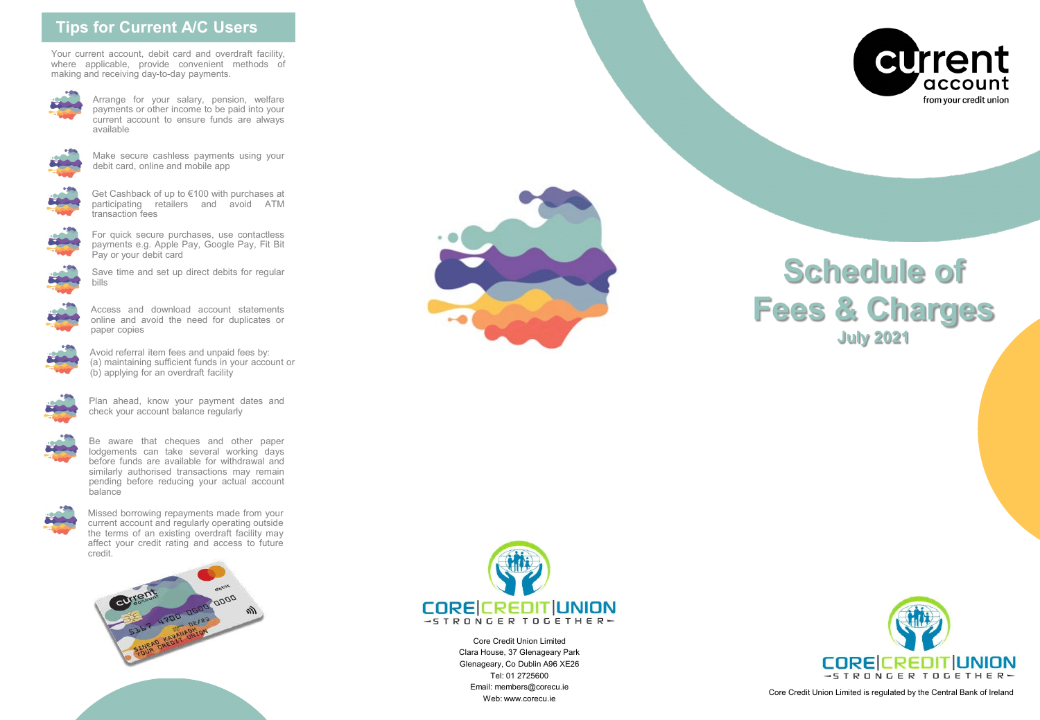# **Tips for Current A/C Users**

Your current account, debit card and overdraft facility, where applicable, provide convenient methods of making and receiving day-to-day payments.



Arrange for your salary, pension, welfare payments or other income to be paid into your current account to ensure funds are always available



Make secure cashless payments using your debit card, online and mobile app



Get Cashback of up to €100 with purchases at participating retailers and avoid ATM transaction fees



For quick secure purchases, use contactless payments e.g. Apple Pay, Google Pay, Fit Bit Pay or your debit card



Save time and set up direct debits for regular bills



Access and download account statements online and avoid the need for duplicates or paper copies



Avoid referral item fees and unpaid fees by: (a) maintaining sufficient funds in your account or (b) applying for an overdraft facility



Plan ahead, know your payment dates and check your account balance regularly



Be aware that cheques and other paper lodgements can take several working days before funds are available for withdrawal and similarly authorised transactions may remain pending before reducing your actual account balance



Missed borrowing repayments made from your current account and regularly operating outside the terms of an existing overdraft facility may affect your credit rating and access to future credit.





# **Schedule of Fees & Charges July 2021**



Core Credit Union Limited Clara House, 37 Glenageary Park Glenageary, Co Dublin A96 XE26 Tel: 01 2725600 Email: members@corecu.ie



ran: members@corecu.ie<br>Web: www.corecu.ie Core Credit Union Limited is regulated by the Central Bank of Ireland